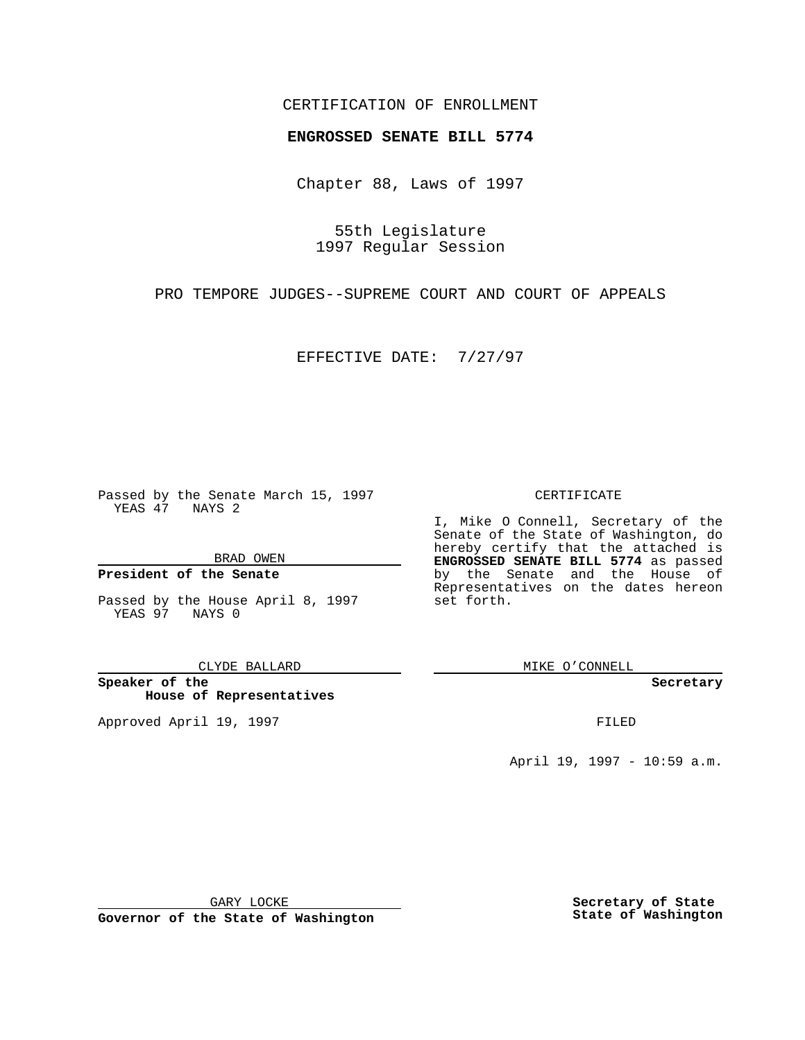### CERTIFICATION OF ENROLLMENT

## **ENGROSSED SENATE BILL 5774**

Chapter 88, Laws of 1997

55th Legislature 1997 Regular Session

PRO TEMPORE JUDGES--SUPREME COURT AND COURT OF APPEALS

EFFECTIVE DATE: 7/27/97

Passed by the Senate March 15, 1997 YEAS 47 NAYS 2

BRAD OWEN

### **President of the Senate**

Passed by the House April 8, 1997 YEAS 97 NAYS 0

CLYDE BALLARD

**Speaker of the House of Representatives**

Approved April 19, 1997 **FILED** 

#### CERTIFICATE

I, Mike O Connell, Secretary of the Senate of the State of Washington, do hereby certify that the attached is **ENGROSSED SENATE BILL 5774** as passed by the Senate and the House of Representatives on the dates hereon set forth.

MIKE O'CONNELL

**Secretary**

April 19, 1997 - 10:59 a.m.

GARY LOCKE

**Governor of the State of Washington**

**Secretary of State State of Washington**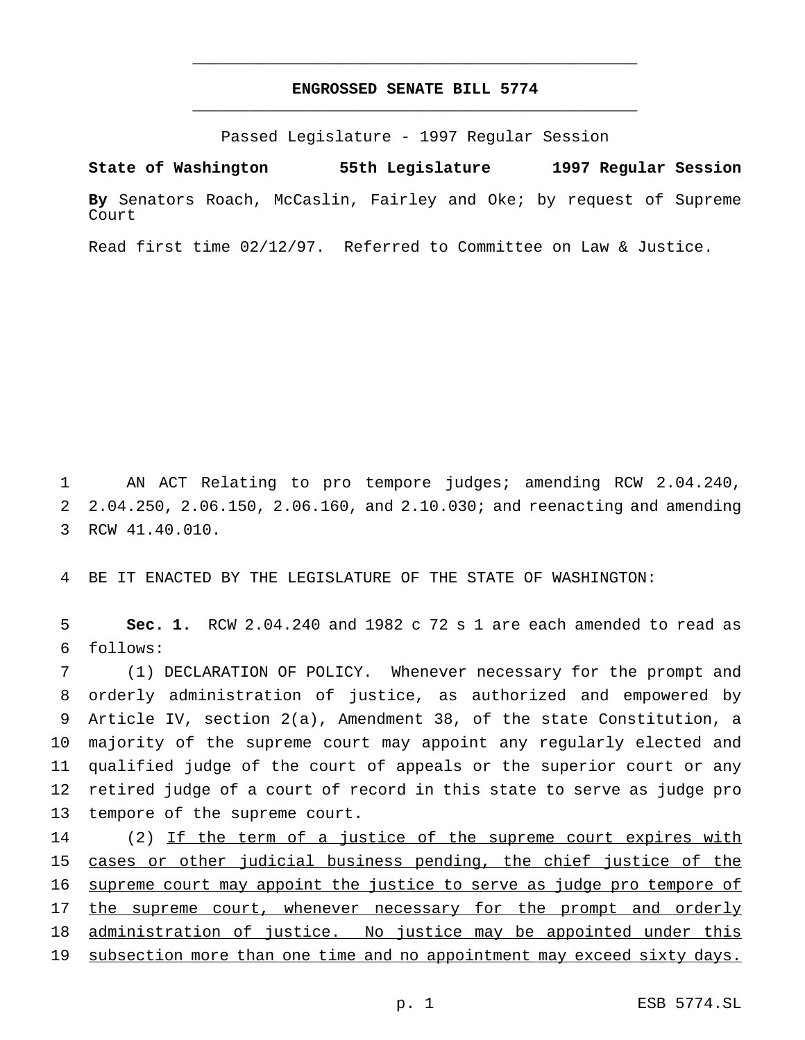### **ENGROSSED SENATE BILL 5774** \_\_\_\_\_\_\_\_\_\_\_\_\_\_\_\_\_\_\_\_\_\_\_\_\_\_\_\_\_\_\_\_\_\_\_\_\_\_\_\_\_\_\_\_\_\_\_

\_\_\_\_\_\_\_\_\_\_\_\_\_\_\_\_\_\_\_\_\_\_\_\_\_\_\_\_\_\_\_\_\_\_\_\_\_\_\_\_\_\_\_\_\_\_\_

Passed Legislature - 1997 Regular Session

**State of Washington 55th Legislature 1997 Regular Session**

**By** Senators Roach, McCaslin, Fairley and Oke; by request of Supreme Court

Read first time 02/12/97. Referred to Committee on Law & Justice.

1 AN ACT Relating to pro tempore judges; amending RCW 2.04.240, 2 2.04.250, 2.06.150, 2.06.160, and 2.10.030; and reenacting and amending 3 RCW 41.40.010.

4 BE IT ENACTED BY THE LEGISLATURE OF THE STATE OF WASHINGTON:

5 **Sec. 1.** RCW 2.04.240 and 1982 c 72 s 1 are each amended to read as 6 follows:

 (1) DECLARATION OF POLICY. Whenever necessary for the prompt and orderly administration of justice, as authorized and empowered by Article IV, section 2(a), Amendment 38, of the state Constitution, a majority of the supreme court may appoint any regularly elected and qualified judge of the court of appeals or the superior court or any retired judge of a court of record in this state to serve as judge pro tempore of the supreme court.

14 (2) If the term of a justice of the supreme court expires with 15 cases or other judicial business pending, the chief justice of the 16 supreme court may appoint the justice to serve as judge pro tempore of 17 the supreme court, whenever necessary for the prompt and orderly 18 administration of justice. No justice may be appointed under this 19 subsection more than one time and no appointment may exceed sixty days.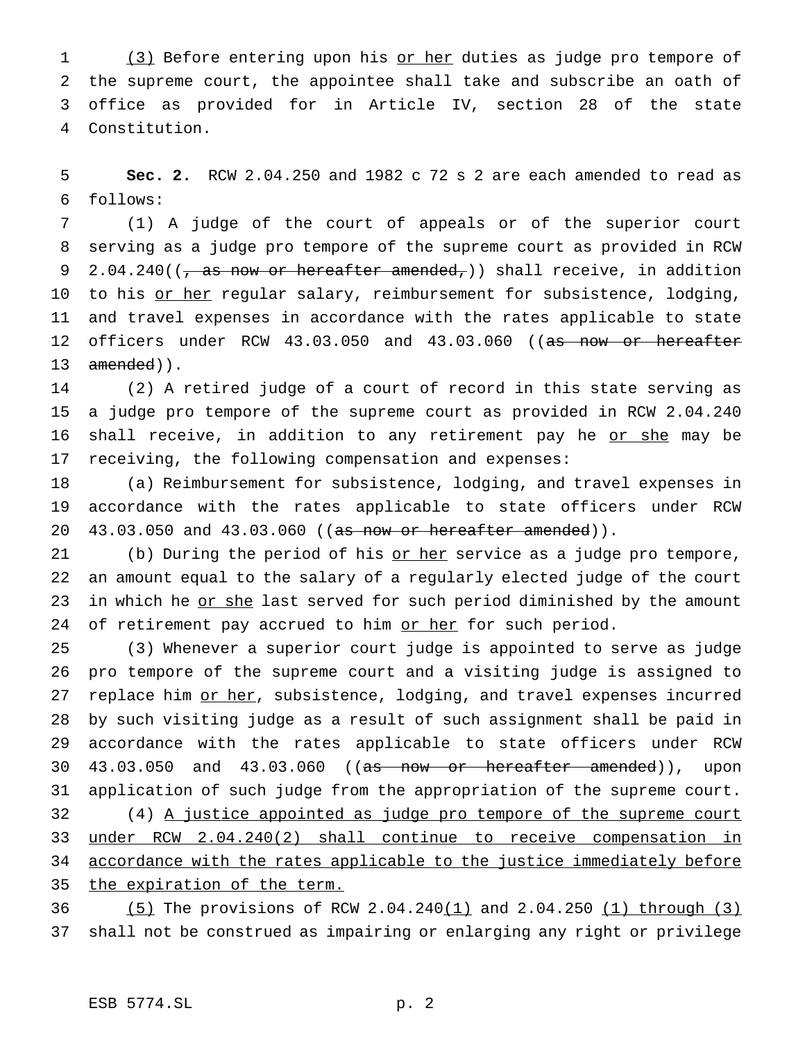1 (3) Before entering upon his or her duties as judge pro tempore of the supreme court, the appointee shall take and subscribe an oath of office as provided for in Article IV, section 28 of the state Constitution.

 **Sec. 2.** RCW 2.04.250 and 1982 c 72 s 2 are each amended to read as follows:

 (1) A judge of the court of appeals or of the superior court serving as a judge pro tempore of the supreme court as provided in RCW 9 2.04.240( $\frac{1}{7}$  as now or hereafter amended,)) shall receive, in addition 10 to his or her regular salary, reimbursement for subsistence, lodging, and travel expenses in accordance with the rates applicable to state 12 officers under RCW 43.03.050 and 43.03.060 ((as now or hereafter 13 amended)).

 (2) A retired judge of a court of record in this state serving as a judge pro tempore of the supreme court as provided in RCW 2.04.240 16 shall receive, in addition to any retirement pay he or she may be receiving, the following compensation and expenses:

 (a) Reimbursement for subsistence, lodging, and travel expenses in accordance with the rates applicable to state officers under RCW 20 43.03.050 and 43.03.060 ((as now or hereafter amended)).

21 (b) During the period of his or her service as a judge pro tempore, an amount equal to the salary of a regularly elected judge of the court 23 in which he or she last served for such period diminished by the amount 24 of retirement pay accrued to him or her for such period.

 (3) Whenever a superior court judge is appointed to serve as judge pro tempore of the supreme court and a visiting judge is assigned to 27 replace him or her, subsistence, lodging, and travel expenses incurred by such visiting judge as a result of such assignment shall be paid in accordance with the rates applicable to state officers under RCW 30 43.03.050 and 43.03.060 ((as now or hereafter amended)), upon application of such judge from the appropriation of the supreme court. 32 (4) A justice appointed as judge pro tempore of the supreme court under RCW 2.04.240(2) shall continue to receive compensation in accordance with the rates applicable to the justice immediately before 35 the expiration of the term.

 (5) The provisions of RCW 2.04.240(1) and 2.04.250 (1) through (3) shall not be construed as impairing or enlarging any right or privilege

# ESB 5774.SL p. 2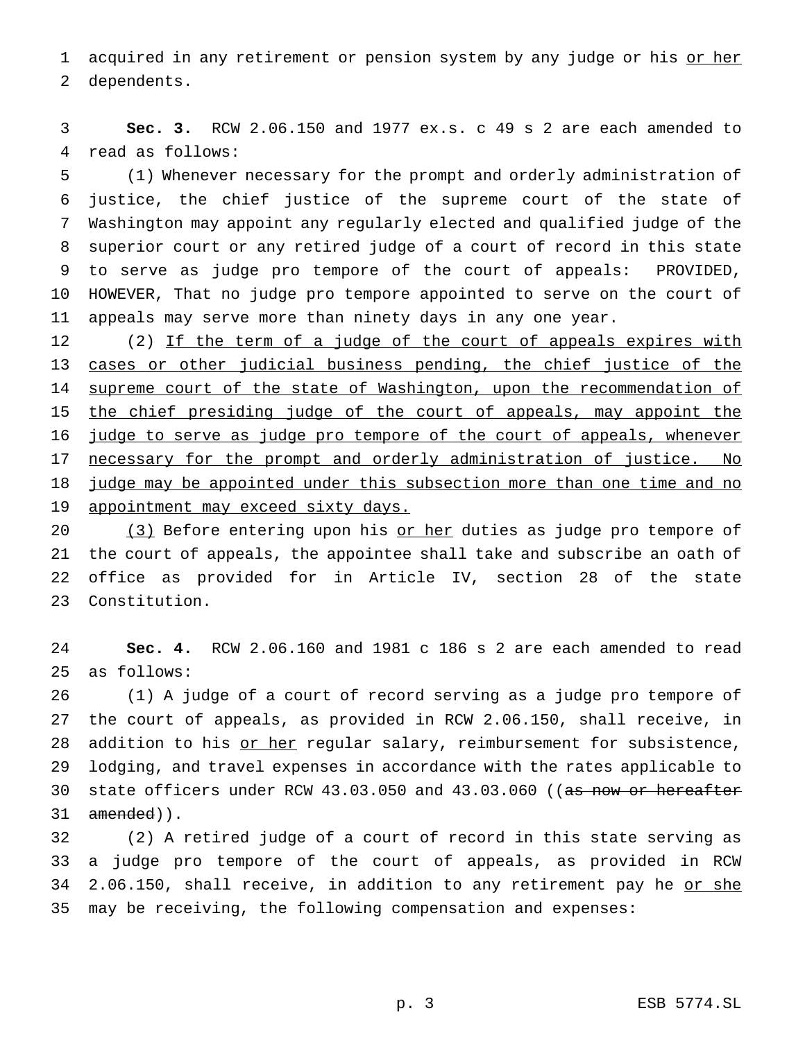1 acquired in any retirement or pension system by any judge or his or her dependents.

 **Sec. 3.** RCW 2.06.150 and 1977 ex.s. c 49 s 2 are each amended to read as follows:

 (1) Whenever necessary for the prompt and orderly administration of justice, the chief justice of the supreme court of the state of Washington may appoint any regularly elected and qualified judge of the superior court or any retired judge of a court of record in this state to serve as judge pro tempore of the court of appeals: PROVIDED, HOWEVER, That no judge pro tempore appointed to serve on the court of appeals may serve more than ninety days in any one year.

12 (2) If the term of a judge of the court of appeals expires with 13 cases or other judicial business pending, the chief justice of the 14 supreme court of the state of Washington, upon the recommendation of the chief presiding judge of the court of appeals, may appoint the 16 judge to serve as judge pro tempore of the court of appeals, whenever 17 necessary for the prompt and orderly administration of justice. No judge may be appointed under this subsection more than one time and no appointment may exceed sixty days.

20 (3) Before entering upon his or her duties as judge pro tempore of the court of appeals, the appointee shall take and subscribe an oath of office as provided for in Article IV, section 28 of the state Constitution.

 **Sec. 4.** RCW 2.06.160 and 1981 c 186 s 2 are each amended to read as follows:

 (1) A judge of a court of record serving as a judge pro tempore of the court of appeals, as provided in RCW 2.06.150, shall receive, in 28 addition to his or her regular salary, reimbursement for subsistence, lodging, and travel expenses in accordance with the rates applicable to 30 state officers under RCW 43.03.050 and 43.03.060 ((as now or hereafter 31 amended)).

 (2) A retired judge of a court of record in this state serving as a judge pro tempore of the court of appeals, as provided in RCW 34 2.06.150, shall receive, in addition to any retirement pay he or she may be receiving, the following compensation and expenses: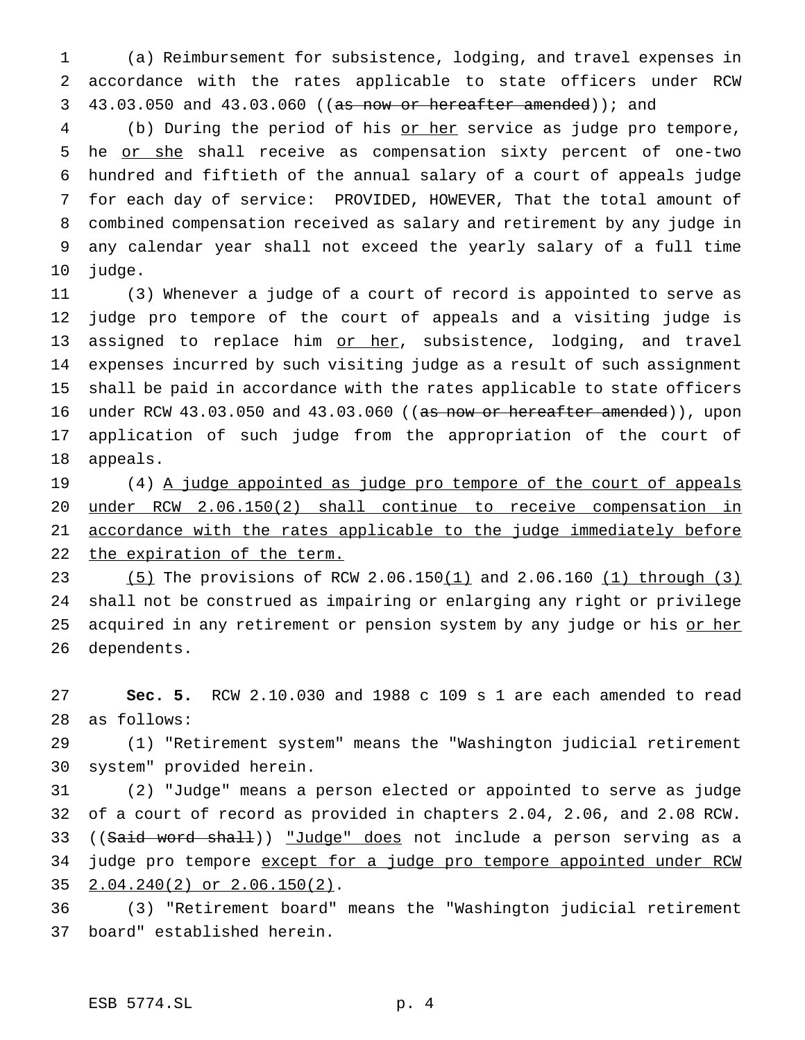(a) Reimbursement for subsistence, lodging, and travel expenses in accordance with the rates applicable to state officers under RCW 3 43.03.050 and 43.03.060 ((as now or hereafter amended)); and

4 (b) During the period of his or her service as judge pro tempore, 5 he or she shall receive as compensation sixty percent of one-two hundred and fiftieth of the annual salary of a court of appeals judge for each day of service: PROVIDED, HOWEVER, That the total amount of combined compensation received as salary and retirement by any judge in any calendar year shall not exceed the yearly salary of a full time judge.

 (3) Whenever a judge of a court of record is appointed to serve as judge pro tempore of the court of appeals and a visiting judge is 13 assigned to replace him or her, subsistence, lodging, and travel expenses incurred by such visiting judge as a result of such assignment shall be paid in accordance with the rates applicable to state officers 16 under RCW 43.03.050 and 43.03.060 ((as now or hereafter amended)), upon application of such judge from the appropriation of the court of appeals.

19 (4) A judge appointed as judge pro tempore of the court of appeals under RCW 2.06.150(2) shall continue to receive compensation in 21 accordance with the rates applicable to the judge immediately before 22 the expiration of the term.

23 (5) The provisions of RCW 2.06.150(1) and 2.06.160 (1) through (3) shall not be construed as impairing or enlarging any right or privilege 25 acquired in any retirement or pension system by any judge or his or her dependents.

 **Sec. 5.** RCW 2.10.030 and 1988 c 109 s 1 are each amended to read as follows:

 (1) "Retirement system" means the "Washington judicial retirement system" provided herein.

 (2) "Judge" means a person elected or appointed to serve as judge of a court of record as provided in chapters 2.04, 2.06, and 2.08 RCW. 33 ((Said word shall)) "Judge" does not include a person serving as a 34 judge pro tempore except for a judge pro tempore appointed under RCW 2.04.240(2) or 2.06.150(2).

 (3) "Retirement board" means the "Washington judicial retirement board" established herein.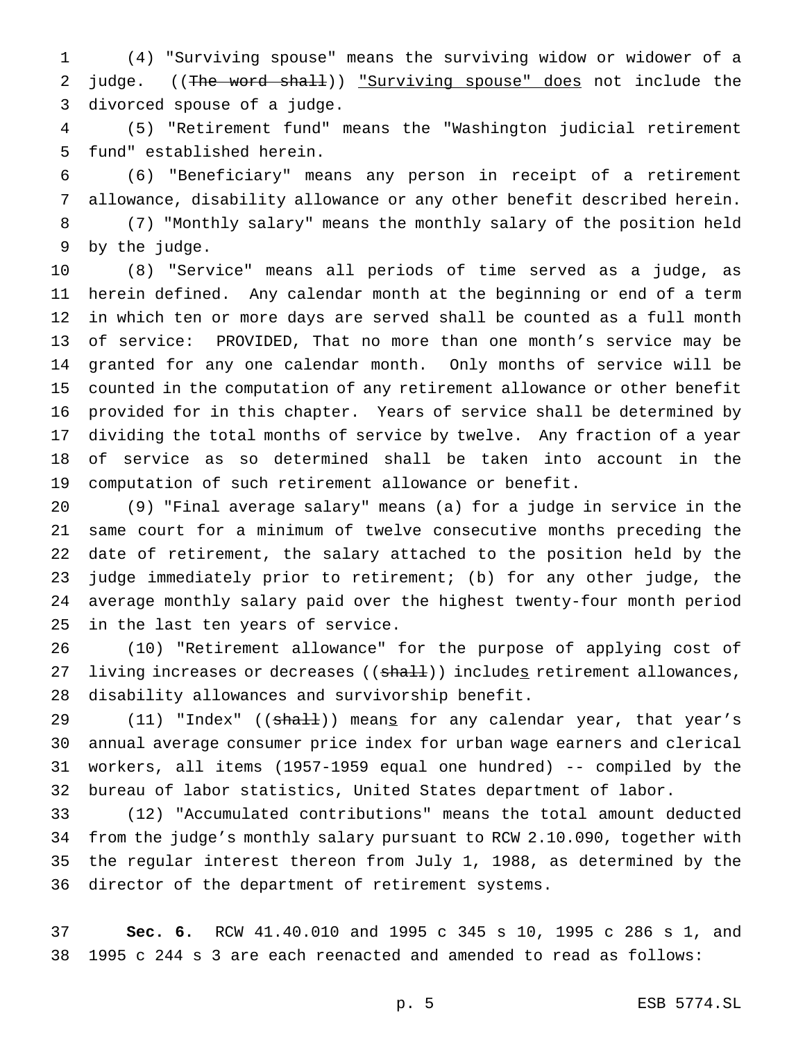(4) "Surviving spouse" means the surviving widow or widower of a 2 judge. ((The word shall)) "Surviving spouse" does not include the divorced spouse of a judge.

 (5) "Retirement fund" means the "Washington judicial retirement fund" established herein.

 (6) "Beneficiary" means any person in receipt of a retirement allowance, disability allowance or any other benefit described herein.

 (7) "Monthly salary" means the monthly salary of the position held by the judge.

 (8) "Service" means all periods of time served as a judge, as herein defined. Any calendar month at the beginning or end of a term in which ten or more days are served shall be counted as a full month of service: PROVIDED, That no more than one month's service may be granted for any one calendar month. Only months of service will be counted in the computation of any retirement allowance or other benefit provided for in this chapter. Years of service shall be determined by dividing the total months of service by twelve. Any fraction of a year of service as so determined shall be taken into account in the computation of such retirement allowance or benefit.

 (9) "Final average salary" means (a) for a judge in service in the same court for a minimum of twelve consecutive months preceding the date of retirement, the salary attached to the position held by the judge immediately prior to retirement; (b) for any other judge, the average monthly salary paid over the highest twenty-four month period in the last ten years of service.

 (10) "Retirement allowance" for the purpose of applying cost of 27 living increases or decreases (( $\frac{1}{n+1}$ )) includes retirement allowances, disability allowances and survivorship benefit.

29 (11) "Index" ((shall)) means for any calendar year, that year's annual average consumer price index for urban wage earners and clerical workers, all items (1957-1959 equal one hundred) -- compiled by the bureau of labor statistics, United States department of labor.

 (12) "Accumulated contributions" means the total amount deducted from the judge's monthly salary pursuant to RCW 2.10.090, together with the regular interest thereon from July 1, 1988, as determined by the director of the department of retirement systems.

 **Sec. 6.** RCW 41.40.010 and 1995 c 345 s 10, 1995 c 286 s 1, and 1995 c 244 s 3 are each reenacted and amended to read as follows: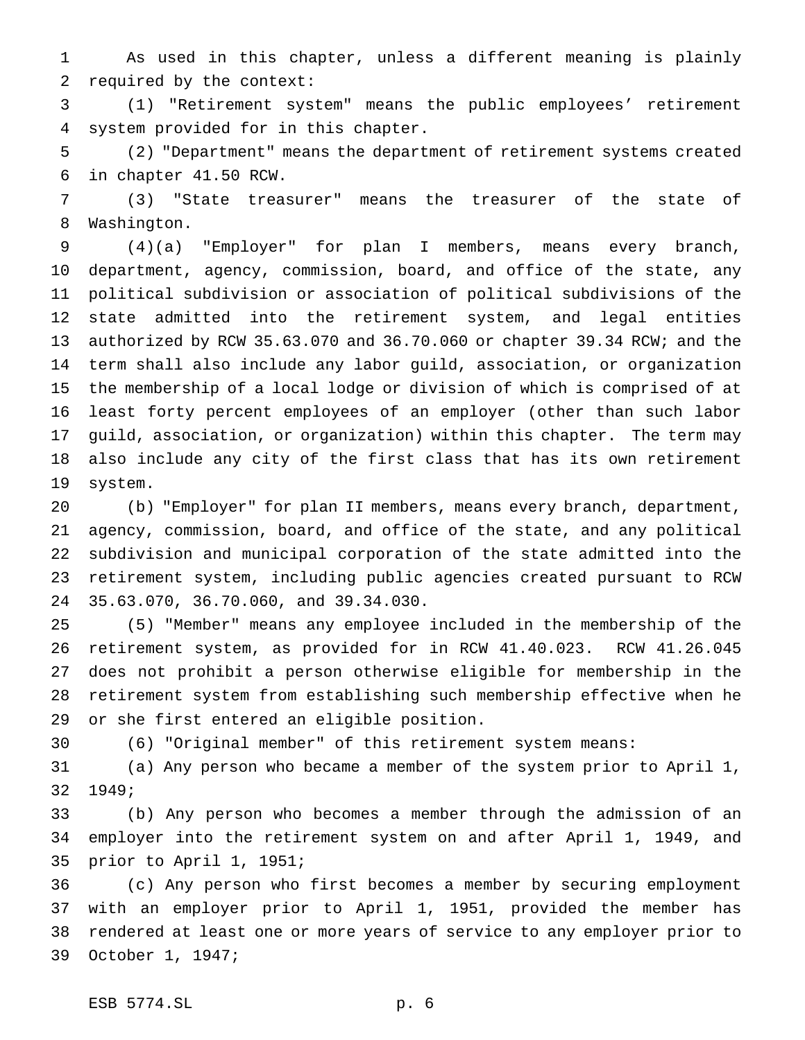As used in this chapter, unless a different meaning is plainly required by the context:

 (1) "Retirement system" means the public employees' retirement system provided for in this chapter.

 (2) "Department" means the department of retirement systems created in chapter 41.50 RCW.

 (3) "State treasurer" means the treasurer of the state of Washington.

 (4)(a) "Employer" for plan I members, means every branch, department, agency, commission, board, and office of the state, any political subdivision or association of political subdivisions of the state admitted into the retirement system, and legal entities authorized by RCW 35.63.070 and 36.70.060 or chapter 39.34 RCW; and the term shall also include any labor guild, association, or organization the membership of a local lodge or division of which is comprised of at least forty percent employees of an employer (other than such labor guild, association, or organization) within this chapter. The term may also include any city of the first class that has its own retirement system.

 (b) "Employer" for plan II members, means every branch, department, agency, commission, board, and office of the state, and any political subdivision and municipal corporation of the state admitted into the retirement system, including public agencies created pursuant to RCW 35.63.070, 36.70.060, and 39.34.030.

 (5) "Member" means any employee included in the membership of the retirement system, as provided for in RCW 41.40.023. RCW 41.26.045 does not prohibit a person otherwise eligible for membership in the retirement system from establishing such membership effective when he or she first entered an eligible position.

(6) "Original member" of this retirement system means:

 (a) Any person who became a member of the system prior to April 1, 1949;

 (b) Any person who becomes a member through the admission of an employer into the retirement system on and after April 1, 1949, and prior to April 1, 1951;

 (c) Any person who first becomes a member by securing employment with an employer prior to April 1, 1951, provided the member has rendered at least one or more years of service to any employer prior to October 1, 1947;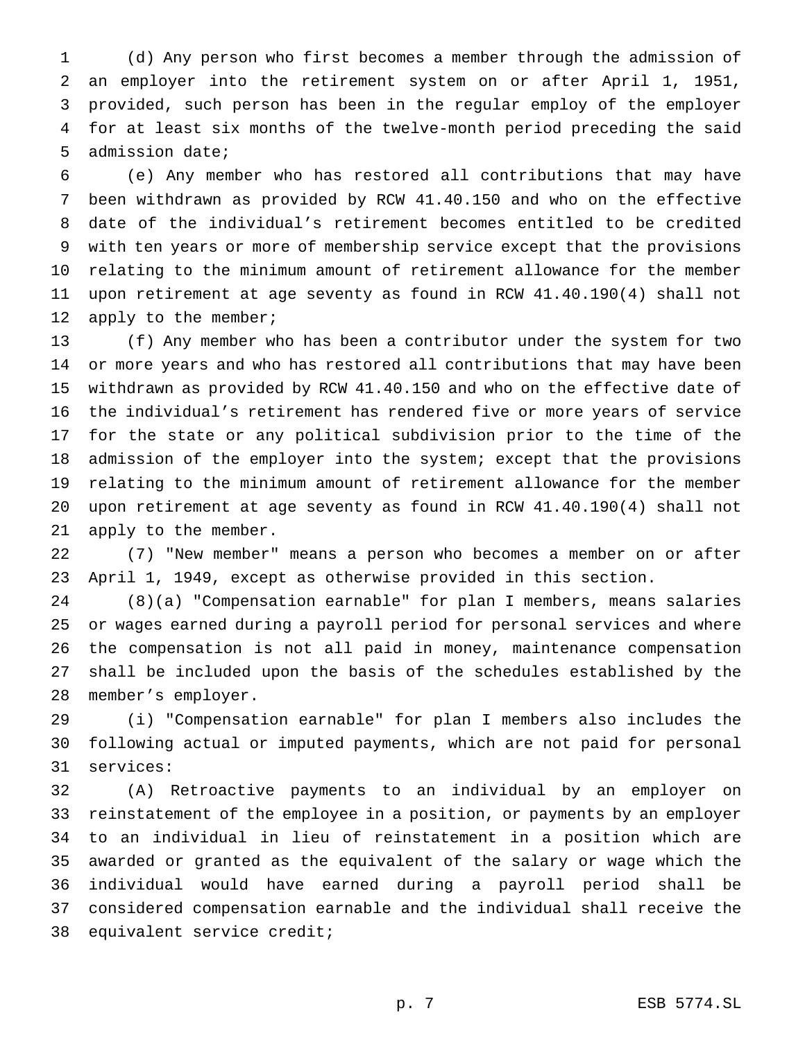(d) Any person who first becomes a member through the admission of an employer into the retirement system on or after April 1, 1951, provided, such person has been in the regular employ of the employer for at least six months of the twelve-month period preceding the said admission date;

 (e) Any member who has restored all contributions that may have been withdrawn as provided by RCW 41.40.150 and who on the effective date of the individual's retirement becomes entitled to be credited with ten years or more of membership service except that the provisions relating to the minimum amount of retirement allowance for the member upon retirement at age seventy as found in RCW 41.40.190(4) shall not 12 apply to the member;

 (f) Any member who has been a contributor under the system for two or more years and who has restored all contributions that may have been withdrawn as provided by RCW 41.40.150 and who on the effective date of the individual's retirement has rendered five or more years of service for the state or any political subdivision prior to the time of the admission of the employer into the system; except that the provisions relating to the minimum amount of retirement allowance for the member upon retirement at age seventy as found in RCW 41.40.190(4) shall not apply to the member.

 (7) "New member" means a person who becomes a member on or after April 1, 1949, except as otherwise provided in this section.

 (8)(a) "Compensation earnable" for plan I members, means salaries or wages earned during a payroll period for personal services and where the compensation is not all paid in money, maintenance compensation shall be included upon the basis of the schedules established by the member's employer.

 (i) "Compensation earnable" for plan I members also includes the following actual or imputed payments, which are not paid for personal services:

 (A) Retroactive payments to an individual by an employer on reinstatement of the employee in a position, or payments by an employer to an individual in lieu of reinstatement in a position which are awarded or granted as the equivalent of the salary or wage which the individual would have earned during a payroll period shall be considered compensation earnable and the individual shall receive the equivalent service credit;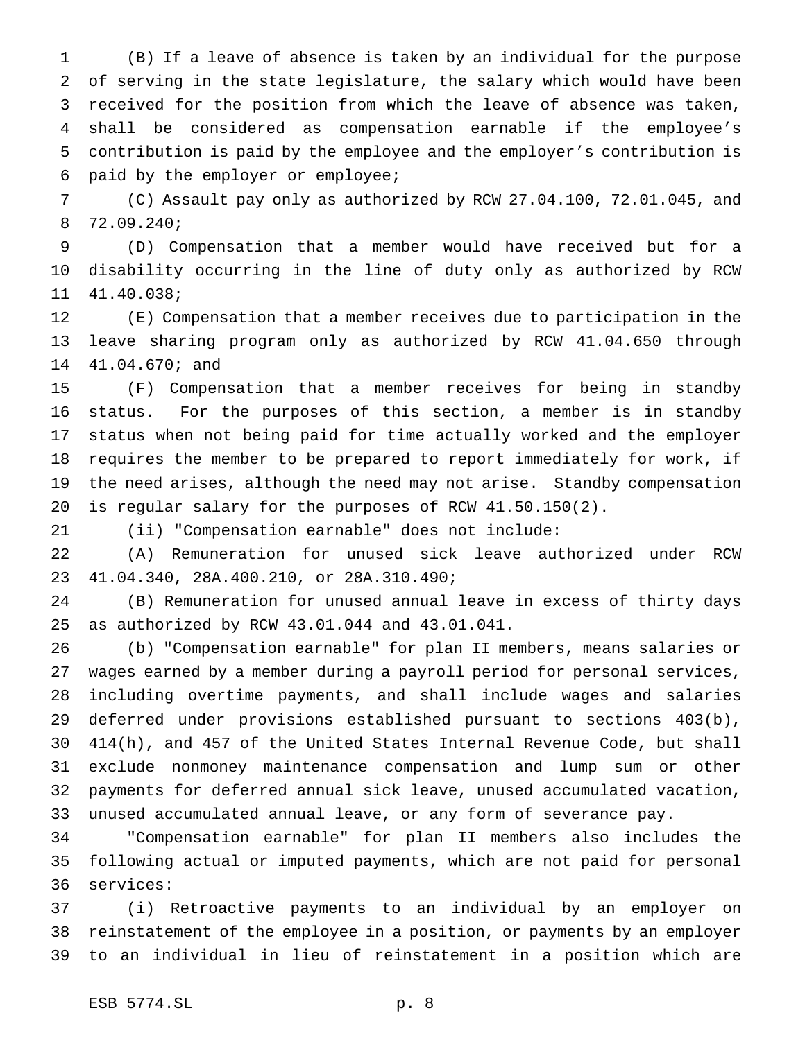(B) If a leave of absence is taken by an individual for the purpose of serving in the state legislature, the salary which would have been received for the position from which the leave of absence was taken, shall be considered as compensation earnable if the employee's contribution is paid by the employee and the employer's contribution is paid by the employer or employee;

 (C) Assault pay only as authorized by RCW 27.04.100, 72.01.045, and 72.09.240;

 (D) Compensation that a member would have received but for a disability occurring in the line of duty only as authorized by RCW 41.40.038;

 (E) Compensation that a member receives due to participation in the leave sharing program only as authorized by RCW 41.04.650 through 41.04.670; and

 (F) Compensation that a member receives for being in standby status. For the purposes of this section, a member is in standby status when not being paid for time actually worked and the employer requires the member to be prepared to report immediately for work, if the need arises, although the need may not arise. Standby compensation is regular salary for the purposes of RCW 41.50.150(2).

(ii) "Compensation earnable" does not include:

 (A) Remuneration for unused sick leave authorized under RCW 41.04.340, 28A.400.210, or 28A.310.490;

 (B) Remuneration for unused annual leave in excess of thirty days as authorized by RCW 43.01.044 and 43.01.041.

 (b) "Compensation earnable" for plan II members, means salaries or wages earned by a member during a payroll period for personal services, including overtime payments, and shall include wages and salaries deferred under provisions established pursuant to sections 403(b), 414(h), and 457 of the United States Internal Revenue Code, but shall exclude nonmoney maintenance compensation and lump sum or other payments for deferred annual sick leave, unused accumulated vacation, unused accumulated annual leave, or any form of severance pay.

 "Compensation earnable" for plan II members also includes the following actual or imputed payments, which are not paid for personal services:

 (i) Retroactive payments to an individual by an employer on reinstatement of the employee in a position, or payments by an employer to an individual in lieu of reinstatement in a position which are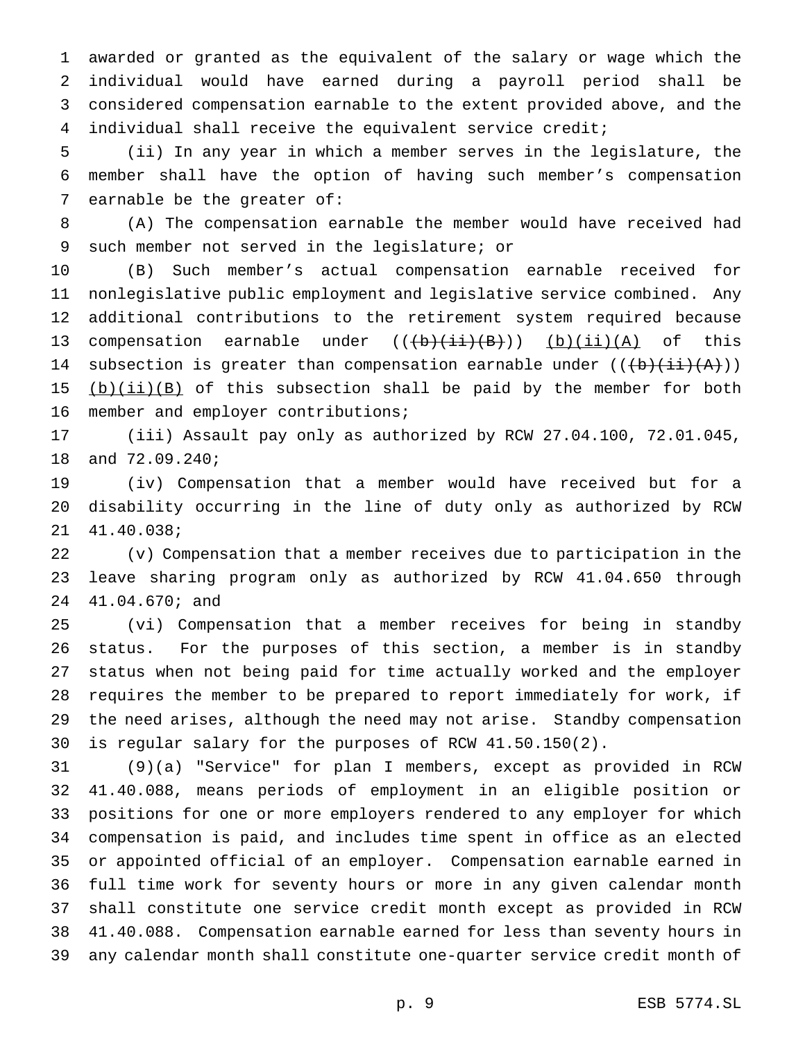awarded or granted as the equivalent of the salary or wage which the individual would have earned during a payroll period shall be considered compensation earnable to the extent provided above, and the individual shall receive the equivalent service credit;

 (ii) In any year in which a member serves in the legislature, the member shall have the option of having such member's compensation earnable be the greater of:

 (A) The compensation earnable the member would have received had such member not served in the legislature; or

 (B) Such member's actual compensation earnable received for nonlegislative public employment and legislative service combined. Any additional contributions to the retirement system required because 13 compensation earnable under  $((\overline{(b)}(\overline{i};\overline{i})\overline{(B)}}))$  (b)(ii)(A) of this 14 subsection is greater than compensation earnable under  $((+b)+(i+1))$  $(b)(ii)(B)$  of this subsection shall be paid by the member for both member and employer contributions;

 (iii) Assault pay only as authorized by RCW 27.04.100, 72.01.045, and 72.09.240;

 (iv) Compensation that a member would have received but for a disability occurring in the line of duty only as authorized by RCW 41.40.038;

 (v) Compensation that a member receives due to participation in the leave sharing program only as authorized by RCW 41.04.650 through 41.04.670; and

 (vi) Compensation that a member receives for being in standby status. For the purposes of this section, a member is in standby status when not being paid for time actually worked and the employer requires the member to be prepared to report immediately for work, if the need arises, although the need may not arise. Standby compensation is regular salary for the purposes of RCW 41.50.150(2).

 (9)(a) "Service" for plan I members, except as provided in RCW 41.40.088, means periods of employment in an eligible position or positions for one or more employers rendered to any employer for which compensation is paid, and includes time spent in office as an elected or appointed official of an employer. Compensation earnable earned in full time work for seventy hours or more in any given calendar month shall constitute one service credit month except as provided in RCW 41.40.088. Compensation earnable earned for less than seventy hours in any calendar month shall constitute one-quarter service credit month of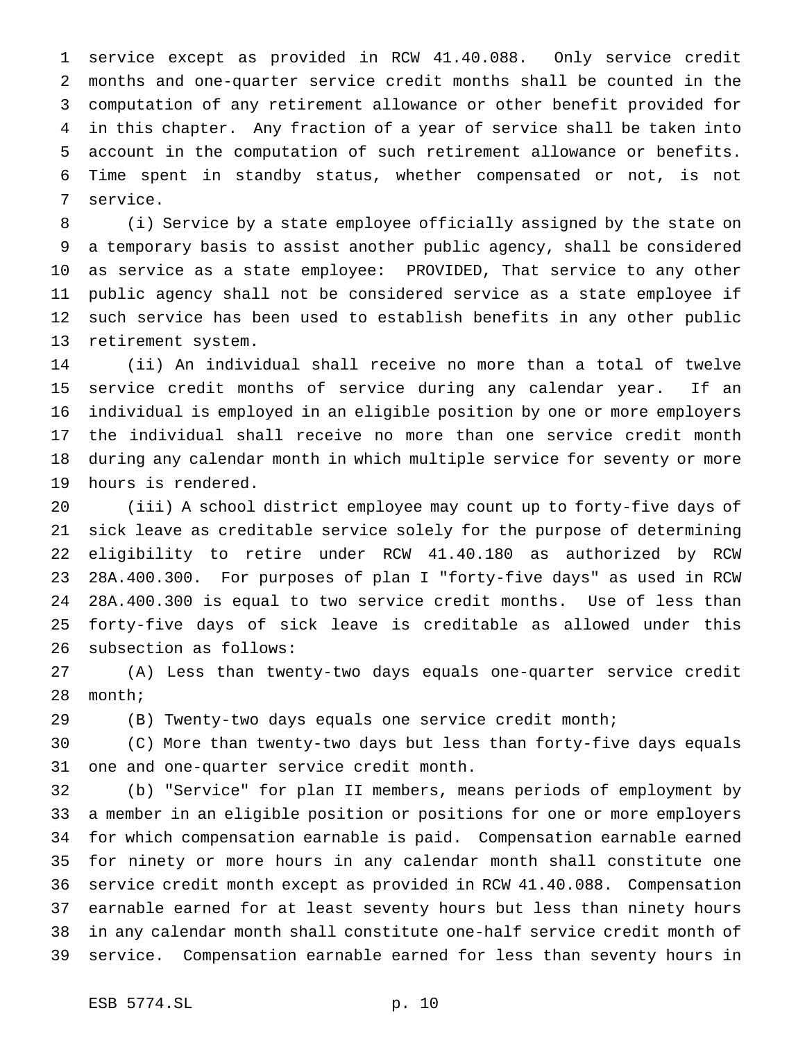service except as provided in RCW 41.40.088. Only service credit months and one-quarter service credit months shall be counted in the computation of any retirement allowance or other benefit provided for in this chapter. Any fraction of a year of service shall be taken into account in the computation of such retirement allowance or benefits. Time spent in standby status, whether compensated or not, is not service.

 (i) Service by a state employee officially assigned by the state on a temporary basis to assist another public agency, shall be considered as service as a state employee: PROVIDED, That service to any other public agency shall not be considered service as a state employee if such service has been used to establish benefits in any other public retirement system.

 (ii) An individual shall receive no more than a total of twelve service credit months of service during any calendar year. If an individual is employed in an eligible position by one or more employers the individual shall receive no more than one service credit month during any calendar month in which multiple service for seventy or more hours is rendered.

 (iii) A school district employee may count up to forty-five days of sick leave as creditable service solely for the purpose of determining eligibility to retire under RCW 41.40.180 as authorized by RCW 28A.400.300. For purposes of plan I "forty-five days" as used in RCW 28A.400.300 is equal to two service credit months. Use of less than forty-five days of sick leave is creditable as allowed under this subsection as follows:

 (A) Less than twenty-two days equals one-quarter service credit month;

(B) Twenty-two days equals one service credit month;

 (C) More than twenty-two days but less than forty-five days equals one and one-quarter service credit month.

 (b) "Service" for plan II members, means periods of employment by a member in an eligible position or positions for one or more employers for which compensation earnable is paid. Compensation earnable earned for ninety or more hours in any calendar month shall constitute one service credit month except as provided in RCW 41.40.088. Compensation earnable earned for at least seventy hours but less than ninety hours in any calendar month shall constitute one-half service credit month of service. Compensation earnable earned for less than seventy hours in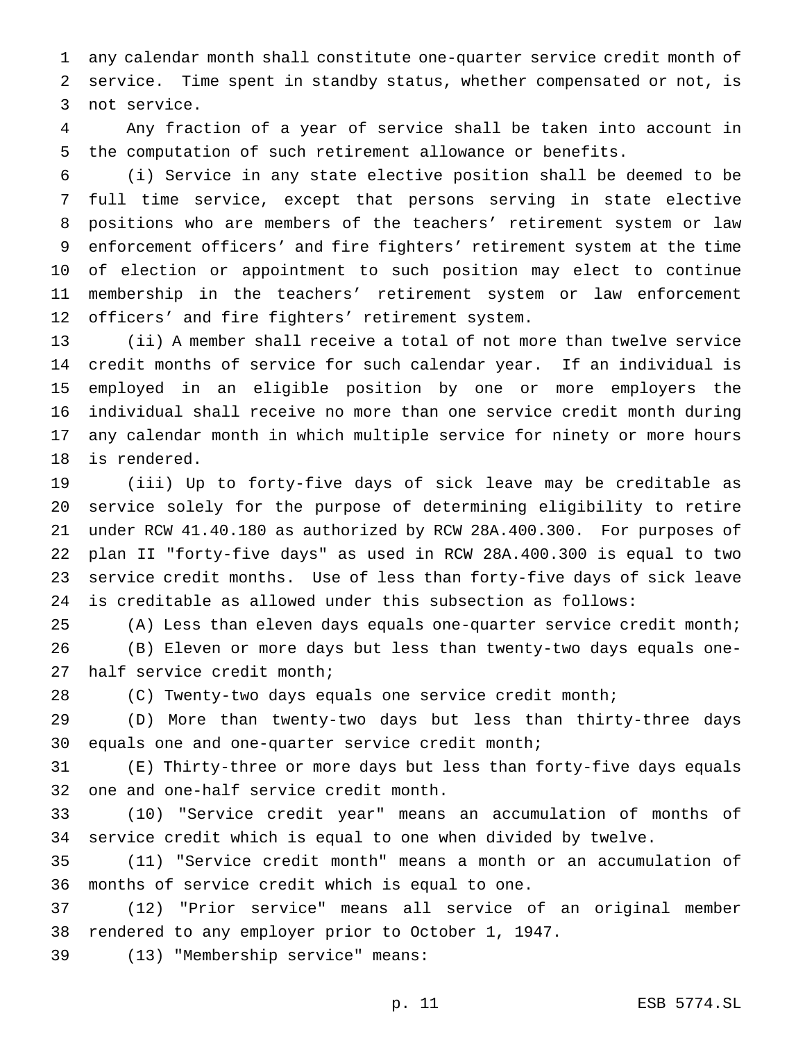any calendar month shall constitute one-quarter service credit month of service. Time spent in standby status, whether compensated or not, is not service.

 Any fraction of a year of service shall be taken into account in the computation of such retirement allowance or benefits.

 (i) Service in any state elective position shall be deemed to be full time service, except that persons serving in state elective positions who are members of the teachers' retirement system or law enforcement officers' and fire fighters' retirement system at the time of election or appointment to such position may elect to continue membership in the teachers' retirement system or law enforcement officers' and fire fighters' retirement system.

 (ii) A member shall receive a total of not more than twelve service credit months of service for such calendar year. If an individual is employed in an eligible position by one or more employers the individual shall receive no more than one service credit month during any calendar month in which multiple service for ninety or more hours is rendered.

 (iii) Up to forty-five days of sick leave may be creditable as service solely for the purpose of determining eligibility to retire under RCW 41.40.180 as authorized by RCW 28A.400.300. For purposes of plan II "forty-five days" as used in RCW 28A.400.300 is equal to two service credit months. Use of less than forty-five days of sick leave is creditable as allowed under this subsection as follows:

(A) Less than eleven days equals one-quarter service credit month;

 (B) Eleven or more days but less than twenty-two days equals one-half service credit month;

(C) Twenty-two days equals one service credit month;

 (D) More than twenty-two days but less than thirty-three days equals one and one-quarter service credit month;

 (E) Thirty-three or more days but less than forty-five days equals one and one-half service credit month.

 (10) "Service credit year" means an accumulation of months of service credit which is equal to one when divided by twelve.

 (11) "Service credit month" means a month or an accumulation of months of service credit which is equal to one.

 (12) "Prior service" means all service of an original member rendered to any employer prior to October 1, 1947.

(13) "Membership service" means:

p. 11 ESB 5774.SL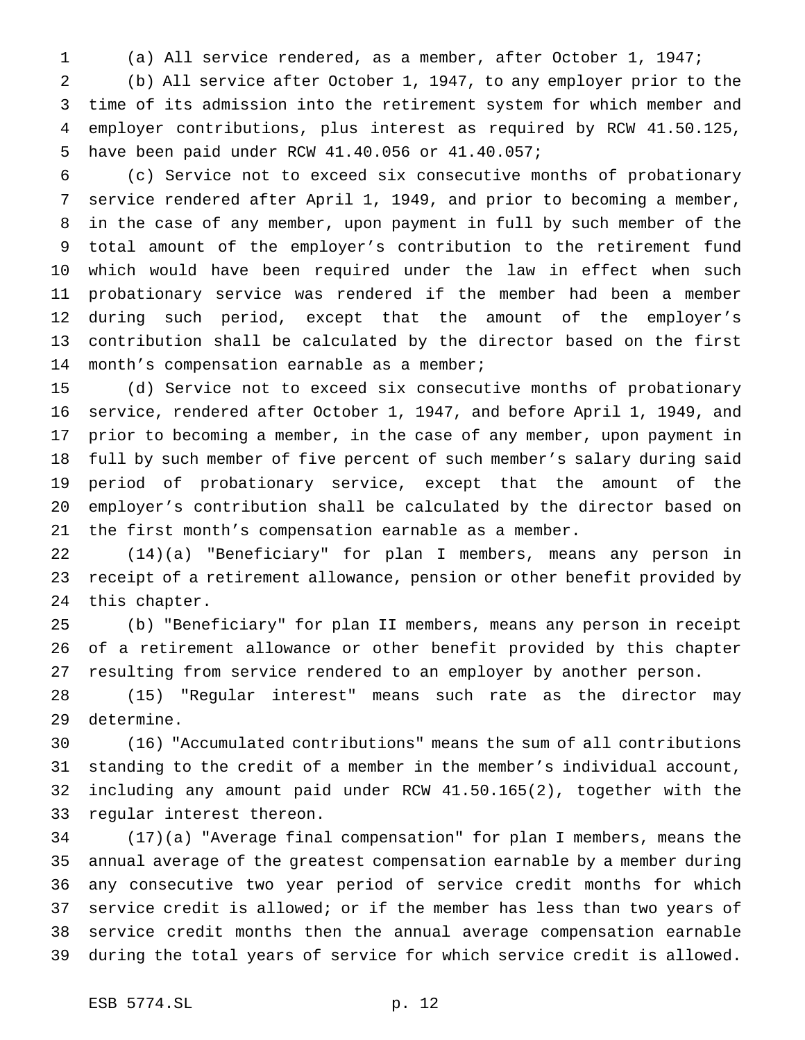(a) All service rendered, as a member, after October 1, 1947;

 (b) All service after October 1, 1947, to any employer prior to the time of its admission into the retirement system for which member and employer contributions, plus interest as required by RCW 41.50.125, have been paid under RCW 41.40.056 or 41.40.057;

 (c) Service not to exceed six consecutive months of probationary service rendered after April 1, 1949, and prior to becoming a member, in the case of any member, upon payment in full by such member of the total amount of the employer's contribution to the retirement fund which would have been required under the law in effect when such probationary service was rendered if the member had been a member during such period, except that the amount of the employer's contribution shall be calculated by the director based on the first month's compensation earnable as a member;

 (d) Service not to exceed six consecutive months of probationary service, rendered after October 1, 1947, and before April 1, 1949, and prior to becoming a member, in the case of any member, upon payment in full by such member of five percent of such member's salary during said period of probationary service, except that the amount of the employer's contribution shall be calculated by the director based on the first month's compensation earnable as a member.

 (14)(a) "Beneficiary" for plan I members, means any person in receipt of a retirement allowance, pension or other benefit provided by this chapter.

 (b) "Beneficiary" for plan II members, means any person in receipt of a retirement allowance or other benefit provided by this chapter resulting from service rendered to an employer by another person.

 (15) "Regular interest" means such rate as the director may determine.

 (16) "Accumulated contributions" means the sum of all contributions standing to the credit of a member in the member's individual account, including any amount paid under RCW 41.50.165(2), together with the regular interest thereon.

 (17)(a) "Average final compensation" for plan I members, means the annual average of the greatest compensation earnable by a member during any consecutive two year period of service credit months for which service credit is allowed; or if the member has less than two years of service credit months then the annual average compensation earnable during the total years of service for which service credit is allowed.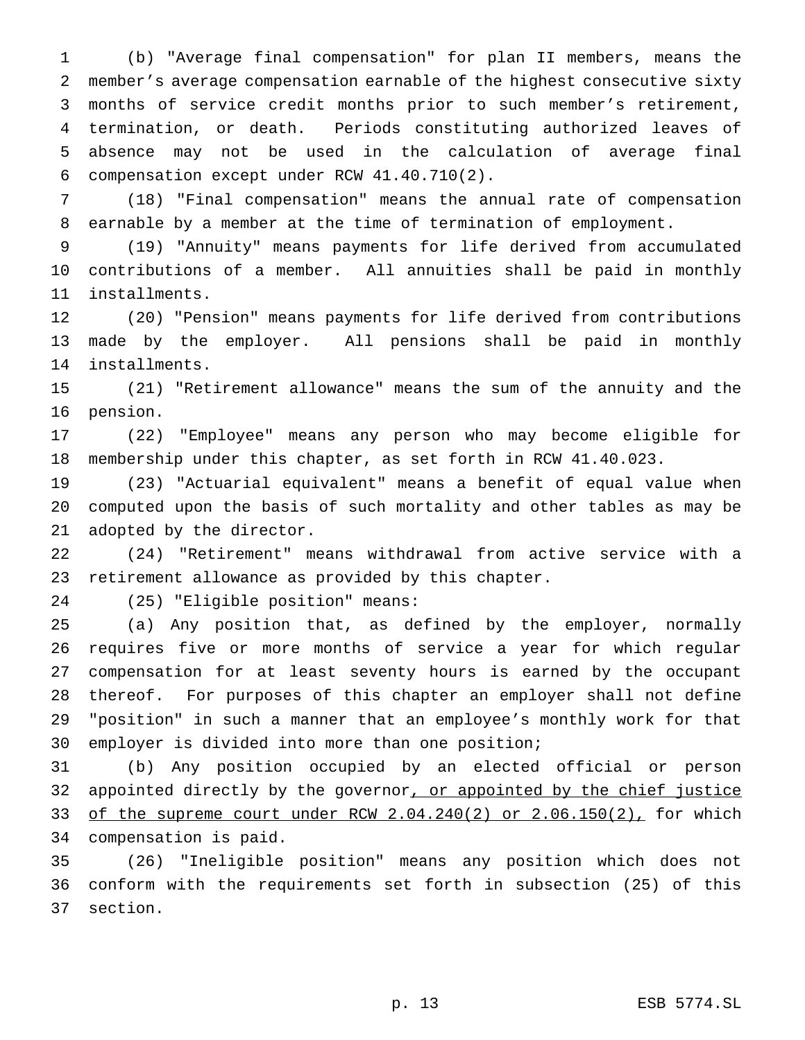(b) "Average final compensation" for plan II members, means the member's average compensation earnable of the highest consecutive sixty months of service credit months prior to such member's retirement, termination, or death. Periods constituting authorized leaves of absence may not be used in the calculation of average final compensation except under RCW 41.40.710(2).

 (18) "Final compensation" means the annual rate of compensation earnable by a member at the time of termination of employment.

 (19) "Annuity" means payments for life derived from accumulated contributions of a member. All annuities shall be paid in monthly installments.

 (20) "Pension" means payments for life derived from contributions made by the employer. All pensions shall be paid in monthly installments.

 (21) "Retirement allowance" means the sum of the annuity and the pension.

 (22) "Employee" means any person who may become eligible for membership under this chapter, as set forth in RCW 41.40.023.

 (23) "Actuarial equivalent" means a benefit of equal value when computed upon the basis of such mortality and other tables as may be adopted by the director.

 (24) "Retirement" means withdrawal from active service with a retirement allowance as provided by this chapter.

(25) "Eligible position" means:

 (a) Any position that, as defined by the employer, normally requires five or more months of service a year for which regular compensation for at least seventy hours is earned by the occupant thereof. For purposes of this chapter an employer shall not define "position" in such a manner that an employee's monthly work for that employer is divided into more than one position;

 (b) Any position occupied by an elected official or person 32 appointed directly by the governor, or appointed by the chief justice of the supreme court under RCW 2.04.240(2) or 2.06.150(2), for which compensation is paid.

 (26) "Ineligible position" means any position which does not conform with the requirements set forth in subsection (25) of this section.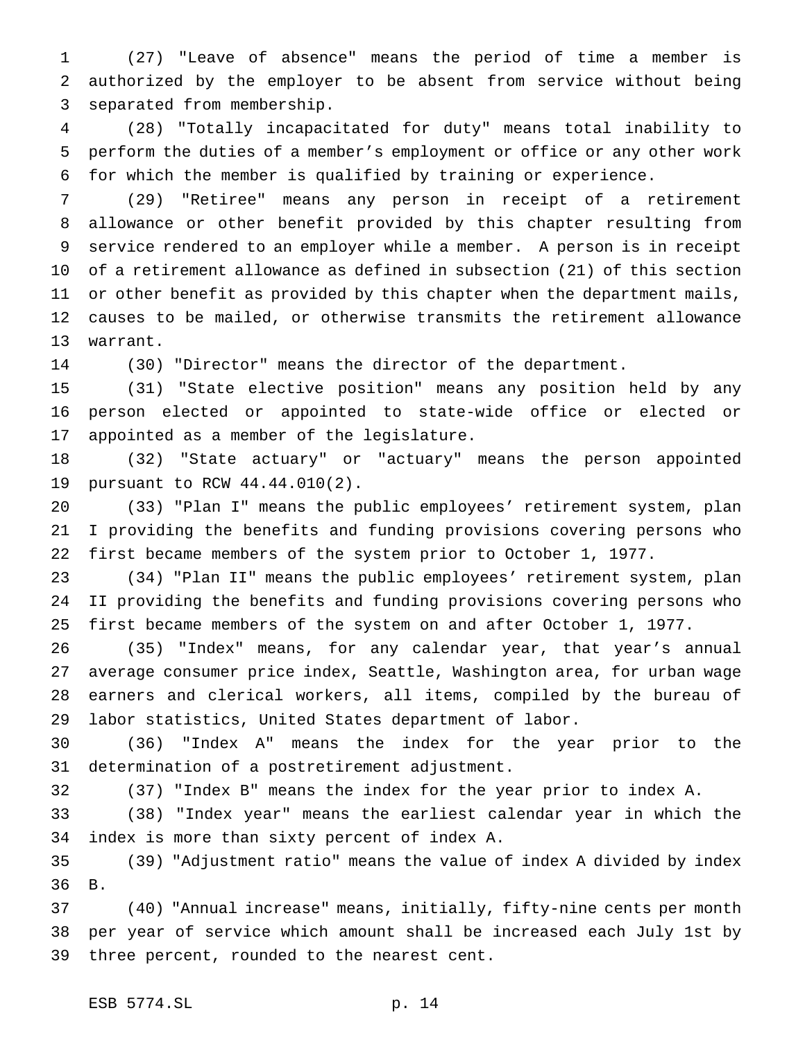(27) "Leave of absence" means the period of time a member is authorized by the employer to be absent from service without being separated from membership.

 (28) "Totally incapacitated for duty" means total inability to perform the duties of a member's employment or office or any other work for which the member is qualified by training or experience.

 (29) "Retiree" means any person in receipt of a retirement allowance or other benefit provided by this chapter resulting from service rendered to an employer while a member. A person is in receipt of a retirement allowance as defined in subsection (21) of this section or other benefit as provided by this chapter when the department mails, causes to be mailed, or otherwise transmits the retirement allowance warrant.

(30) "Director" means the director of the department.

 (31) "State elective position" means any position held by any person elected or appointed to state-wide office or elected or appointed as a member of the legislature.

 (32) "State actuary" or "actuary" means the person appointed pursuant to RCW 44.44.010(2).

 (33) "Plan I" means the public employees' retirement system, plan I providing the benefits and funding provisions covering persons who first became members of the system prior to October 1, 1977.

 (34) "Plan II" means the public employees' retirement system, plan II providing the benefits and funding provisions covering persons who first became members of the system on and after October 1, 1977.

 (35) "Index" means, for any calendar year, that year's annual average consumer price index, Seattle, Washington area, for urban wage earners and clerical workers, all items, compiled by the bureau of labor statistics, United States department of labor.

 (36) "Index A" means the index for the year prior to the determination of a postretirement adjustment.

(37) "Index B" means the index for the year prior to index A.

 (38) "Index year" means the earliest calendar year in which the index is more than sixty percent of index A.

 (39) "Adjustment ratio" means the value of index A divided by index B.

 (40) "Annual increase" means, initially, fifty-nine cents per month per year of service which amount shall be increased each July 1st by three percent, rounded to the nearest cent.